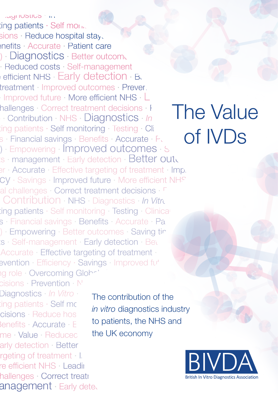Contribution · NHS · Diagnostics · In Vitro Diagnostics In V  $\lim$ g patients  $\cdot$  Self monitoring  $s$ ions  $\cdot$  Reduce hospital stays  $\cdot$  $enefits \cdot Accurate \cdot Patient \ care$ ) · Diagnostics · Better outcomes · Reduced costs · Self-management efficient NHS · Early detection · Better outcom treatment Improved outcomes · Prevertion Improved future · More efficient NHS · Leading hallenges · Correct treatment decisions · Preventional  $\mathsf{T}$ **Contribution · NHS · Diagnostics · In**  $\operatorname{ting}$  patients  $\cdot$  Self monitoring  $\cdot$  Testing  $\cdot$  Clinical decrees s · Financial savings · Benefits · Accurate · Patient control ) · Empowering · Improved outcomes · Saving is · management · Early detection · Better outcosts er · Accurate · Effective targeting of treatment · Imp. CY · Savings · Improved future · More efficient NHS al challenges · Correct treatment decisions · <sup>F</sup> Contribution · NHS · Diagnostics · In Vitro  $\mathop{\sf tangent}\nolimits$ s · Self monitoring · Testing · Clinical declinical declinical declinical decrees s · Financial savings · Benefits · Accurate · Patient c ) · Empowering · Better outcomes · Saving time value · Self-management · Early detection · Better outch Accurate · Effective targeting of treatment · Accurate · Effective targeting of treatment · Moreover the setter and the setter and all the setter and the setter and the setter and the setter and the setter and the setter and the setter and the setter and the setter an ng role · Overcoming Global challenges

cisions · Prevention · N' Diagnostics · *In Vitro* · UK Exports · Supporting patients · Self monitoring · · NHS ·Supporting patients · Self mo cisions · Reduce hos in viure Benefits · Accurate · Employee me · Value · Reducec **th** arly detection · Better outcomes for patients rgeting of treatment · Improved outcomes in Prevent Improved outcomes in Prevent Improved in Prevent Improved i re efficient NHS · Leading role hallenges · Correct treatment decisions anagement · Early detection

The contribution of the *in vitro* diagnostics industry to patients, the NHS and the UK economy



# The Value of IVDs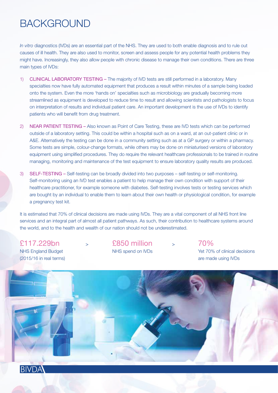### BACKGROUND

*In vitro* diagnostics (IVDs) are an essential part of the NHS. They are used to both enable diagnosis and to rule out causes of ill health. They are also used to monitor, screen and assess people for any potential health problems they might have. Increasingly, they also allow people with chronic disease to manage their own conditions. There are three main types of IVDs:

- 1) CLINICAL LABORATORY TESTING The majority of IVD tests are still performed in a laboratory. Many specialties now have fully automated equipment that produces a result within minutes of a sample being loaded onto the system. Even the more 'hands on' specialties such as microbiology are gradually becoming more streamlined as equipment is developed to reduce time to result and allowing scientists and pathologists to focus on interpretation of results and individual patient care. An important development is the use of IVDs to identify patients who will benefit from drug treatment.
- 2) NEAR PATIENT TESTING Also known as Point of Care Testing, these are IVD tests which can be performed outside of a laboratory setting. This could be within a hospital such as on a ward, at an out-patient clinic or in A&E. Alternatively the testing can be done in a community setting such as at a GP surgery or within a pharmacy. Some tests are simple, colour-change formats, while others may be done on miniaturised versions of laboratory equipment using simplified procedures. They do require the relevant healthcare professionals to be trained in routine managing, monitoring and maintenance of the test equipment to ensure laboratory quality results are produced.
- 3) SELF-TESTING Self-testing can be broadly divided into two purposes self-testing or self-monitoring. Self-monitoring using an IVD test enables a patient to help manage their own condition with support of their healthcare practitioner, for example someone with diabetes. Self-testing involves tests or testing services which are bought by an individual to enable them to learn about their own health or physiological condition, for example a pregnancy test kit.

It is estimated that 70% of clinical decisions are made using IVDs. They are a vital component of all NHS front line services and an integral part of almost all patient pathways. As such, their contribution to healthcare systems around the world, and to the health and wealth of our nation should not be underestimated.

(2015/16 in real terms) are made using IVDs

£117.229bn <sup>&</sup>gt; £850 million <sup>&</sup>gt; 70%

NHS England Budget NHS spend on IVDs Yet 70% of clinical decisions



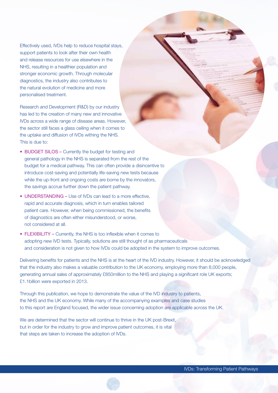Effectively used, IVDs help to reduce hospital stays, support patients to look after their own health and release resources for use elsewhere in the NHS, resulting in a healthier population and stronger economic growth. Through molecular diagnostics, the industry also contributes to the natural evolution of medicine and more personalised treatment.

Research and Development (R&D) by our industry has led to the creation of many new and innovative IVDs across a wide range of disease areas. However, the sector still faces a glass ceiling when it comes to the uptake and diffusion of IVDs withing the NHS. This is due to:

- BUDGET SILOS Currently the budget for testing and general pathology in the NHS is separated from the rest of the budget for a medical pathway. This can often provide a disincentive to introduce cost-saving and potentially life-saving new tests because while the up-front and ongoing costs are borne by the innovators, the savings accrue further down the patient pathway.
- UNDERSTANDING Use of IVDs can lead to a more effective, rapid and accurate diagnosis, which in turn enables tailored patient care. However, when being commissioned, the benefits of diagnostics are often either misunderstood, or worse, not considered at all.
- FLEXIBILITY Currently, the NHS is too inflexible when it comes to adopting new IVD tests. Typically, solutions are still thought of as pharmaceuticals and consideration is not given to how IVDs could be adopted in the system to improve outcomes.

Delivering benefits for patients and the NHS is at the heart of the IVD industry. However, it should be acknowledged that the industry also makes a valuable contribution to the UK economy, employing more than 8,000 people, generating annual sales of approximately £850million to the NHS and playing a significant role UK exports; £1.1billion were exported in 2013.

Through this publication, we hope to demonstrate the value of the IVD industry to patients, the NHS and the UK economy. While many of the accompanying examples and case studies to this report are England focused, the wider issue concerning adoption are applicable across the UK.

We are determined that the sector will continue to thrive in the UK post-Brexit, but in order for the industry to grow and improve patient outcomes, it is vital that steps are taken to increase the adoption of IVDs.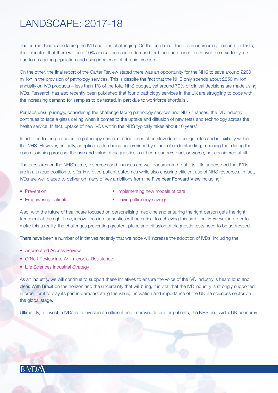## LANDSCAPE: 2017-18

The current landscape facing the IVD sector is challenging. On the one hand, there is an increasing demand for tests; it is expected that there will be a 10% annual increase in demand for blood and tissue tests over the next ten years due to an ageing population and rising incidence of chronic disease.

On the other, the final report of the Carter Review stated there was an opportunity for the NHS to save around £200 million in the provision of pathology services. This is despite the fact that the NHS only spends about £850 million annually on IVD products – less than 1% of the total NHS budget, yet around 70% of clinical decisions are made using IVDs. Research has also recently been published that found pathology services in the UK are struggling to cope with the increasing demand for samples to be tested, in part due to workforce shortfalls<sup>1</sup>.

Perhaps unsurprisingly, considering the challenge facing pathology services and NHS finances, the IVD industry continues to face a glass ceiling when it comes to the uptake and diffusion of new tests and technology across the health service. In fact, uptake of new IVDs within the NHS typically takes about 10 years<sup>2</sup>.

In addition to the pressures on pathology services, adoption is often slow due to budget silos and inflexibility within the NHS. However, critically, adoption is also being undermined by a lack of understanding, meaning that during the commissioning process, the use and value of diagnostics is either misunderstood, or worse, not considered at all.

The pressures on the NHS's time, resources and finances are well documented, but it is little understood that IVDs are in a unique position to offer improved patient outcomes while also ensuring efficient use of NHS resources. In fact, IVDs are well placed to deliver on many of key ambitions from the Five Year Forward View including:

- 
- Prevention Implementing new models of care
- 
- Empowering patients Driving efficiency savings

Also, with the future of healthcare focused on personalising medicine and ensuring the right person gets the right treatment at the right time, innovations in diagnostics will be critical to achieving this ambition. However, in order to make this a reality, the challenges preventing greater uptake and diffusion of diagnostic tests need to be addressed.

There have been a number of initiatives recently that we hope will increase the adoption of IVDs, including the;

- Accelerated Access Review
- O'Neill Review into Antimicrobial Resistance
- Life Sciences Industrial Strategy

As an industry, we will continue to support these initiatives to ensure the voice of the IVD industry is heard loud and clear. With Brexit on the horizon and the uncertainty that will bring, it is vital that the IVD industry is strongly supported in order for it to play its part in demonstrating the value, innovation and importance of the UK life sciences sector on the global stage.

Ultimately, to invest in IVDs is to invest in an efficient and improved future for patients, the NHS and wider UK economy.

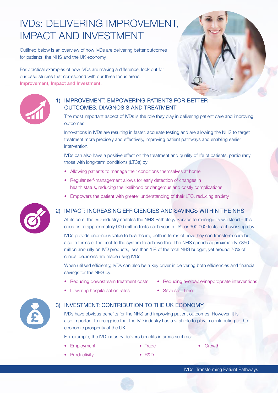## IVDs: DELIVERING IMPROVEMENT, IMPACT AND INVESTMENT

Outlined below is an overview of how IVDs are delivering better outcomes for patients, the NHS and the UK economy.

For practical examples of how IVDs are making a difference, look out for our case studies that correspond with our three focus areas: Improvement, Impact and Investment.





#### 1) IMPROVEMENT: EMPOWERING PATIENTS FOR BETTER OUTCOMES, DIAGNOSIS AND TREATMENT

 The most important aspect of IVDs is the role they play in delivering patient care and improving outcomes.

 Innovations in IVDs are resulting in faster, accurate testing and are allowing the NHS to target treatment more precisely and effectively, improving patient pathways and enabling earlier intervention.

 IVDs can also have a positive effect on the treatment and quality of life of patients, particularly those with long-term conditions (LTCs) by:

- Allowing patients to manage their conditions themselves at home
- Regular self-management allows for early detection of changes in health status, reducing the likelihood or dangerous and costly complications
- Empowers the patient with greater understanding of their LTC, reducing anxiety

#### 2) IMPACT: INCREASING EFFICIENCIES AND SAVINGS WITHIN THE NHS

 At its core, the IVD industry enables the NHS Pathology Service to manage its workload – this equates to approximately 900 million tests each year in UK or 300,000 tests each working day.

 IVDs provide enormous value to healthcare, both in terms of how they can transform care but also in terms of the cost to the system to achieve this. The NHS spends approximately £850 million annually on IVD products, less than 1% of the total NHS budget, yet around 70% of clinical decisions are made using IVDs.

 When utilised efficiently, IVDs can also be a key driver in delivering both efficiencies and financial savings for the NHS by:

- 
- Lowering hospitalisation rates Save staff time
- Reducing downstream treatment costs Reducing avoidable/inappropriate interventions
	-



#### 3) INVESTMENT: CONTRIBUTION TO THE UK ECONOMY

 IVDs have obvious benefits for the NHS and improving patient outcomes. However, it is also important to recognise that the IVD industry has a vital role to play in contributing to the economic prosperity of the UK.

For example, the IVD industry delivers benefits in areas such as:

- **Employment Trade Growth**
- 

- Productivity R&D
-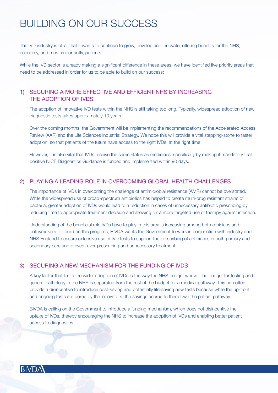## BUILDING ON OUR SUCCESS

The IVD industry is clear that it wants to continue to grow, develop and innovate, offering benefits for the NHS, economy, and most importantly, patients.

While the IVD sector is already making a significant difference in these areas, we have identified five priority areas that need to be addressed in order for us to be able to build on our success:

#### 1) SECURING A MORE EFFECTIVE AND EFFICIENT NHS BY INCREASING THE ADOPTION OF IVDS

 The adoption of innovative IVD tests within the NHS is still taking too long. Typically, widespread adoption of new diagnostic tests takes approximately 10 years.

 Over the coming months, the Government will be implementing the recommendations of the Accelerated Access Review (AAR) and the Life Sciences Industrial Strategy. We hope this will provide a vital stepping-stone to faster adoption, so that patients of the future have access to the right IVDs, at the right time.

 However, it is also vital that IVDs receive the same status as medicines, specifically by making it mandatory that positive NICE Diagnostics Guidance is funded and implemented within 90 days.

#### 2) PLAYING A LEADING ROLE IN OVERCOMING GLOBAL HEALTH CHALLENGES

 The importance of IVDs in overcoming the challenge of antimicrobial resistance (AMR) cannot be overstated. While the widespread use of broad-spectrum antibiotics has helped to create multi-drug resistant strains of bacteria, greater adoption of IVDs would lead to a reduction in cases of unnecessary antibiotic prescribing by reducing time to appropriate treatment decision and allowing for a more targeted use of therapy against infection.

 Understanding of the beneficial role IVDs have to play in this area is increasing among both clinicians and policymakers. To build on this progress, BIVDA wants the Government to work in conjunction with industry and NHS England to ensure extensive use of IVD tests to support the prescribing of antibiotics in both primary and secondary care and prevent over-prescribing and unnecessary treatment.

#### 3) SECURING A NEW MECHANISM FOR THE FUNDING OF IVDS

 A key factor that limits the wider adoption of IVDs is the way the NHS budget works. The budget for testing and general pathology in the NHS is separated from the rest of the budget for a medical pathway. This can often provide a disincentive to introduce cost-saving and potentially life-saving new tests because while the up-front and ongoing tests are borne by the innovators, the savings accrue further down the patient pathway.

 BIVDA is calling on the Government to introduce a funding mechanism, which does not disincentive the uptake of IVDs, thereby encouraging the NHS to increase the adoption of IVDs and enabling better patient access to diagnostics.

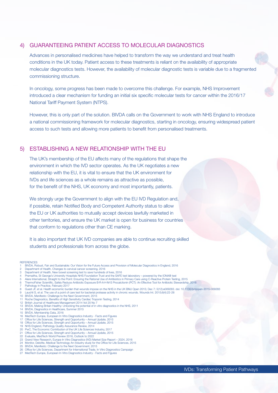#### 4) GUARANTEEING PATIENT ACCESS TO MOLECULAR DIAGNOSTICS

 Advances in personalised medicines have helped to transform the way we understand and treat health conditions in the UK today. Patient access to these treatments is reliant on the availability of appropriate molecular diagnostics tests. However, the availability of molecular diagnostic tests is variable due to a fragmented commissioning structure.

 In oncology, some progress has been made to overcome this challenge. For example, NHS Improvement introduced a clear mechanism for funding an initial six specific molecular tests for cancer within the 2016/17 National Tariff Payment System (NTPS).

 However, this is only part of the solution. BIVDA calls on the Government to work with NHS England to introduce a national commissioning framework for molecular diagnostics, starting in oncology, ensuring widespread patient access to such tests and allowing more patients to benefit from personalised treatments.

#### 5) ESTABLISHING A NEW RELATIONSHIP WITH THE EU

 The UK's membership of the EU affects many of the regulations that shape the environment in which the IVD sector operates. As the UK negotiates a new relationship with the EU, it is vital to ensure that the UK environment for IVDs and life sciences as a whole remains as attractive as possible, for the benefit of the NHS, UK economy and most importantly, patients.

We strongly urge the Government to align with the EU IVD Regulation and, if possible, retain Notified Body and Competent Authority status to allow the EU or UK authorities to mutually accept devices lawfully marketed in other territories, and ensure the UK market is open for business for countries that conform to regulations other than CE marking.

 It is also important that UK IVD companies are able to continue recruiting skilled students and professionals from across the globe.

**REFERENCES** 

- 1 BIVDA, Robust, Fair and Sustainable: Our Vision for the Future Access and Provision of Molecular Diagnostics in England, 2016
- 2 Department of Health, Changes to cervical cancer screening, 2016 3 Department of Health, New bowel screening test to save hundreds of lives, 2016
- 
- 4 Premaitha, St George's University Hospitals NHS Foundation Trust and the SAFE test laboratory powered by the IONA® test<br>5 Alere International, Straight to the Point: Ensuring the Rational Use of Antibiotics in Primary
- 6 ThermoFisher Scientific, Safely Reduce Antibiotic Exposure B·R·A·H·M·S Procalcitonin (PCT): An Effective Tool for Antibiotic Stewardship, 2016
- Pathology in Practice, February 2017
- 8 Guest JF, et al. Health economic burden that wounds impose on the NHS in the UK BMJ Open 2015; Dec 7; 5(12):e009283. doi: 10.1136/bmjopen-2015-009283<br>9 Lauchli S, et al. The use of a point of care test for bacterial prot
- 
- 10 BIVDA, Manifesto: Challenge to the Next Government, 2015
- 11 Roche Diagnostics, Benefits of High Sensitivity Cardiac Troponin Testing, 2014
- 12 British Journal of Healthcare Management 2014 Vol 20 No 7
- 13 BIVDA, Making Britain Healthy: Unlocking the potential of in vitro diagnostics in the NHS, 2011 14 BIVDA, Diagnostics in Healthcare, Summer 2015
- 
- 15 BIVDA, Membership Data, 2016 16 MedTech Europe, European In Vitro Diagnostics Industry Facts and Figures
- 17 Office for Life Sciences, Strength and Opportunity Annual Update, 2015 18 Office for Life Sciences, Strength and Opportunity Annual Update, 2015 19 NHS England, Pathology Quality Assurance Review, 2014
- 
- 
- 20 PwC, The Economic Contribution of the UK Life Sciences Industry, 2017 21 Office for Life Sciences, Strength and Opportunity Annual Update, 2015
- 
- 22 Evaluate, MedTech World Preview 2016, Outlook to 2022 23 Grand View Research, Europe In Vitro Diagnostics (IVD) Market Size Report 2024, 2016
- 24 Monitor, Deloitte, Medical Technology An industry study for the Office for Life Sciences, 2015
- 
- 25 BIVDA, Manifesto: Challenge to the Next Government, 2015 26 Office for Life Sciences, Department for International Trade, In Vitro Diagnostics Campaign
- 27 MedTech Europe, European In Vitro Diagnostics Industry Facts and Figures